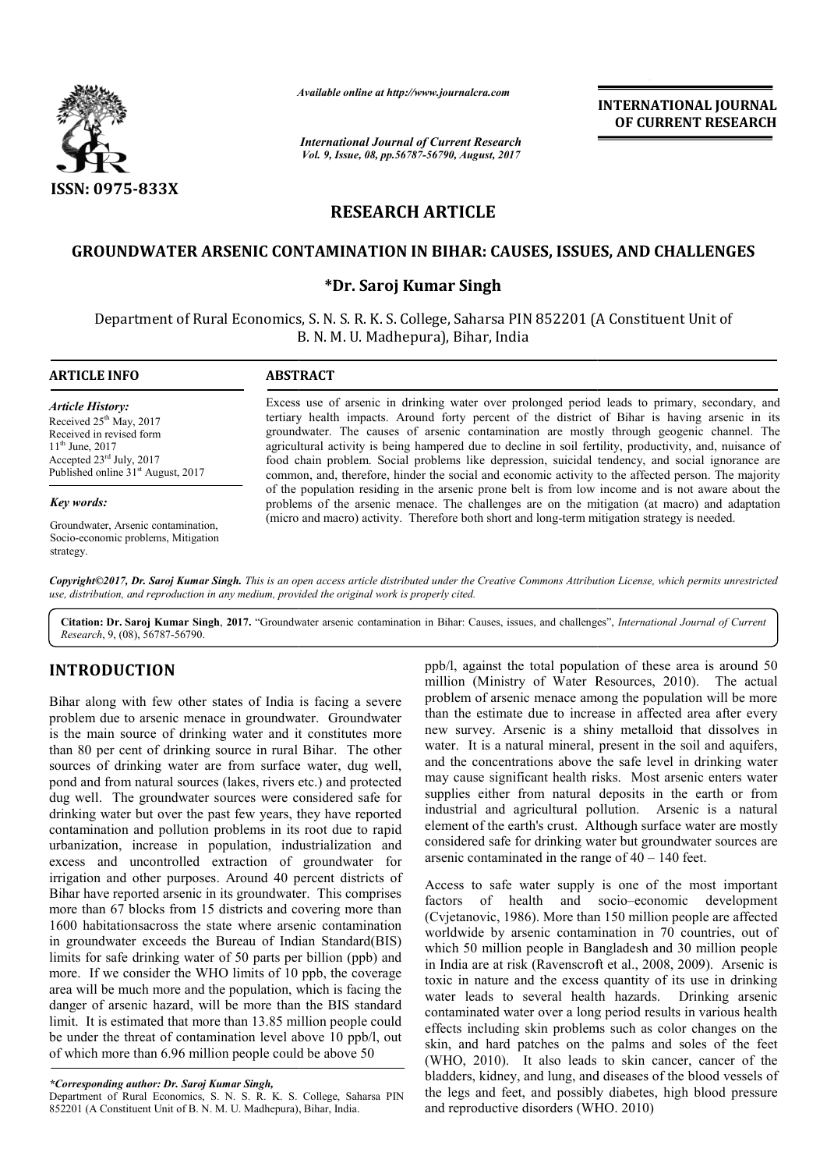

*Available online at http://www.journal http://www.journalcra.com*

*International Journal of Current Research Vol. 9, Issue, 08, pp.56787-56790, August, 2017*

**INTERNATIONAL JOURNAL OF CURRENT RESEARCH** 

# **RESEARCH ARTICLE**

## **GROUNDWATER ARSENIC CONTAMINATION IN BIHAR: CAUSES, ISSUES, AND CHALLENGES**

## **\*Dr. Saroj Kumar Singh**

Department of Rural Economics, S. N. S. R. K. S. College, Saharsa PIN 852201 (A Constituent Unit of B. N. M. U. Madhepura), Bihar, India

**ARTICLE INFO ABSTRACT**

*Article History:* Received 25<sup>th</sup> May, 2017 Received in revised form 11th June, 2017 Accepted 23rd July, 2017 Published online  $31<sup>st</sup>$  August, 2017

#### *Key words:*

Groundwater, Arsenic contamination, Socio-economic problems, Mitigation strategy.

Excess use of arsenic in drinking water over prolonged period leads to primary, secondary, and Excess use of arsenic in drinking water over prolonged period leads to primary, secondary, and tertiary health impacts. Around forty percent of the district of Bihar is having arsenic in its groundwater. The causes of arsenic contamination are mostly through geogenic channel. The agricultural activity is being hampered due to decline in soil fertility, productivity, and, nuisance of food chain problem. Social problems like depression, suicidal tendency, and social ignorance are common, and, therefore, hinder the social and economic activity to the affected person. The majority of the population residing in the arsenic prone belt is from low income and is not aware about the problems of the arsenic menace. The challenges are on the mitigation (at macro) and adaptation problems of the arsenic menace. The challenges are on the mitigation (at macro) and ac (micro and macro) activity. Therefore both short and long-term mitigation strategy is needed. groundwater. The causes of arsenic contamination are mostly through geogenic channel. T<br>agricultural activity is being hampered due to decline in soil fertility, productivity, and, nuisance<br>food chain problem. Social probl

*Copyright©2017, Dr. Saroj Kumar Singh. This is an open access article distributed under the Creative Commons Attribution License, which ribution permits unrestricted use, distribution, and reproduction in any medium, provided the original work is properly cited.*

Citation: Dr. Saroj Kumar Singh, 2017. "Groundwater arsenic contamination in Bihar: Causes, issues, and challenges", *International Journal of Current Research*, 9, (08), 56787-56790.

# **INTRODUCTION**

Bihar along with few other states of India is facing a severe problem due to arsenic menace in groundwater. Groundwater is the main source of drinking water and it constitutes more than 80 per cent of drinking source in rural Bihar. The other sources of drinking water are from surface water, dug well, pond and from natural sources (lakes, rivers etc.) and protected dug well. The groundwater sources were considered safe for drinking water but over the past few years, they have reported contamination and pollution problems in its root due to rapid urbanization, increase in population, industrialization and excess and uncontrolled extraction of groundwater for irrigation and other purposes. Around 40 percent districts of Bihar have reported arsenic in its groundwater. This comprises more than 67 blocks from 15 districts and covering more than 1600 habitationsacross the state where arsenic contamination in groundwater exceeds the Bureau of Indian Standard(BIS) limits for safe drinking water of 50 parts per billion (ppb) and more. If we consider the WHO limits of 10 ppb, the coverage area will be much more and the population, which is facing the danger of arsenic hazard, will be more than the BIS standard limit. It is estimated that more than 13.85 million people could be under the threat of contamination level above 10 ppb/l, out of which more than 6.96 million people could be above 50 nd from natural sources (lakes, rivers etc.) and p<br>ell. The groundwater sources were considered ig water but over the past few years, they have r<br>ination and pollution problems in its root due t<br>zation, increase in populat

Department of Rural Economics, S. N. S. R. K. S. College, Saharsa PIN 852201 (A Constituent Unit of B. N. M. U. Madhepura), Bihar, India.

ppb/l, against the total population of these area is around 50 million (Ministry of Water Resources, 2010). The actual problem of arsenic menace among the population will be more than the estimate due to increase in affected area after eve new survey. Arsenic is a shiny metalloid that dissolves in water. It is a natural mineral, present in the soil and aquifers, and the concentrations above the safe level in drinking water may cause significant health risks. Most arsenic enters water supplies either from natural deposits in the earth or from industrial and agricultural pollution. Arsenic is a natural element of the earth's crust. Although surface water are mostly considered safe for drinking water but groundwater sources are arsenic contaminated in the range of  $40 - 140$  feet. gainst the total population of these area is around 50 (Ministry of Water Resources, 2010). The actual of arsenic menace among the population will be more estimate due to increase in affected area after every a that is a shiny metalloid that dissolves in that is a natural mineral, present in the soil and aquifers, d the concentrations above the safe level in drinking water and cause significant health risks. Most arsenic enters

Access to safe water supply is one of the most important Access to safe water supply is one of the most important factors of health and socio–economic development (Cvjetanovic, 1986). More than 150 million people are affected worldwide by arsenic contamination in 70 countries, out of which 50 million people in Bangladesh and 30 million people in India are at risk (Ravenscroft et al., 2008, 2009). Arsenic is toxic in nature and the excess quantity of its use in drinking water leads to several health hazards. Drinking arsenic contaminated water over a long period results in various health effects including skin problems such as color changes on the skin, and hard patches on the palms and soles of the feet (WHO, 2010). It also leads to skin cancer, cancer of the bladders, kidney, and lung, and diseases of the blood vessels of the legs and feet, and possibly diabetes, high blood pressure and reproductive disorders (WHO. 2010) which 50 million people in Bangladesh and 30 million people<br>in India are at risk (Ravenscroft et al., 2008, 2009). Arsenic is<br>toxic in nature and the excess quantity of its use in drinking<br>water leads to several health haz **INTERNATIONAL JOURNAL CONEXAL CONEXAL CONEXAL COF CURRENT RESEARCH gast. 2017<br>
CLE CRUSES, ISSUES, AND CHALLENGES<br>
Research<br>
2.LE<br>
Research<br>
2.LE<br>
Research<br>
2.LE<br>
Research<br>
2.LE<br>
Research<br>
2.LE<br>
Research<br>
2.LE<br>
Research<br>** 

*<sup>\*</sup>Corresponding author: Dr. Saroj Kumar Singh,*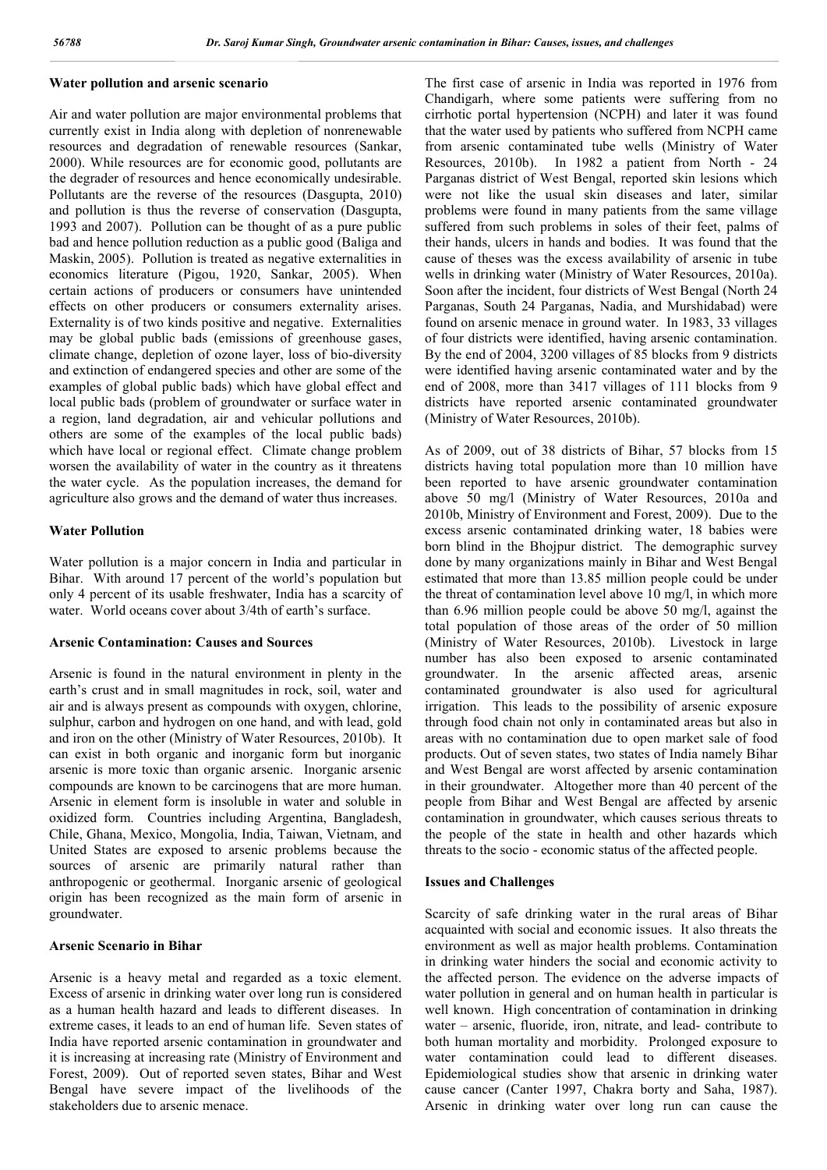#### **Water pollution and arsenic scenario**

Air and water pollution are major environmental problems that currently exist in India along with depletion of nonrenewable resources and degradation of renewable resources (Sankar, 2000). While resources are for economic good, pollutants are the degrader of resources and hence economically undesirable. Pollutants are the reverse of the resources (Dasgupta, 2010) and pollution is thus the reverse of conservation (Dasgupta, 1993 and 2007). Pollution can be thought of as a pure public bad and hence pollution reduction as a public good (Baliga and Maskin, 2005). Pollution is treated as negative externalities in economics literature (Pigou, 1920, Sankar, 2005). When certain actions of producers or consumers have unintended effects on other producers or consumers externality arises. Externality is of two kinds positive and negative. Externalities may be global public bads (emissions of greenhouse gases, climate change, depletion of ozone layer, loss of bio-diversity and extinction of endangered species and other are some of the examples of global public bads) which have global effect and local public bads (problem of groundwater or surface water in a region, land degradation, air and vehicular pollutions and others are some of the examples of the local public bads) which have local or regional effect. Climate change problem worsen the availability of water in the country as it threatens the water cycle. As the population increases, the demand for agriculture also grows and the demand of water thus increases.

#### **Water Pollution**

Water pollution is a major concern in India and particular in Bihar. With around 17 percent of the world's population but only 4 percent of its usable freshwater, India has a scarcity of water. World oceans cover about 3/4th of earth's surface.

### **Arsenic Contamination: Causes and Sources**

Arsenic is found in the natural environment in plenty in the earth's crust and in small magnitudes in rock, soil, water and air and is always present as compounds with oxygen, chlorine, sulphur, carbon and hydrogen on one hand, and with lead, gold and iron on the other (Ministry of Water Resources, 2010b). It can exist in both organic and inorganic form but inorganic arsenic is more toxic than organic arsenic. Inorganic arsenic compounds are known to be carcinogens that are more human. Arsenic in element form is insoluble in water and soluble in oxidized form. Countries including Argentina, Bangladesh, Chile, Ghana, Mexico, Mongolia, India, Taiwan, Vietnam, and United States are exposed to arsenic problems because the sources of arsenic are primarily natural rather than anthropogenic or geothermal. Inorganic arsenic of geological origin has been recognized as the main form of arsenic in groundwater.

#### **Arsenic Scenario in Bihar**

Arsenic is a heavy metal and regarded as a toxic element. Excess of arsenic in drinking water over long run is considered as a human health hazard and leads to different diseases. In extreme cases, it leads to an end of human life. Seven states of India have reported arsenic contamination in groundwater and it is increasing at increasing rate (Ministry of Environment and Forest, 2009). Out of reported seven states, Bihar and West Bengal have severe impact of the livelihoods of the stakeholders due to arsenic menace.

The first case of arsenic in India was reported in 1976 from Chandigarh, where some patients were suffering from no cirrhotic portal hypertension (NCPH) and later it was found that the water used by patients who suffered from NCPH came from arsenic contaminated tube wells (Ministry of Water Resources, 2010b). In 1982 a patient from North - 24 Parganas district of West Bengal, reported skin lesions which were not like the usual skin diseases and later, similar problems were found in many patients from the same village suffered from such problems in soles of their feet, palms of their hands, ulcers in hands and bodies. It was found that the cause of theses was the excess availability of arsenic in tube wells in drinking water (Ministry of Water Resources, 2010a). Soon after the incident, four districts of West Bengal (North 24 Parganas, South 24 Parganas, Nadia, and Murshidabad) were found on arsenic menace in ground water. In 1983, 33 villages of four districts were identified, having arsenic contamination. By the end of 2004, 3200 villages of 85 blocks from 9 districts were identified having arsenic contaminated water and by the end of 2008, more than 3417 villages of 111 blocks from 9 districts have reported arsenic contaminated groundwater (Ministry of Water Resources, 2010b).

As of 2009, out of 38 districts of Bihar, 57 blocks from 15 districts having total population more than 10 million have been reported to have arsenic groundwater contamination above 50 mg/l (Ministry of Water Resources, 2010a and 2010b, Ministry of Environment and Forest, 2009). Due to the excess arsenic contaminated drinking water, 18 babies were born blind in the Bhojpur district. The demographic survey done by many organizations mainly in Bihar and West Bengal estimated that more than 13.85 million people could be under the threat of contamination level above 10 mg/l, in which more than 6.96 million people could be above 50 mg/l, against the total population of those areas of the order of 50 million (Ministry of Water Resources, 2010b). Livestock in large number has also been exposed to arsenic contaminated groundwater. In the arsenic affected areas, arsenic contaminated groundwater is also used for agricultural irrigation. This leads to the possibility of arsenic exposure through food chain not only in contaminated areas but also in areas with no contamination due to open market sale of food products. Out of seven states, two states of India namely Bihar and West Bengal are worst affected by arsenic contamination in their groundwater. Altogether more than 40 percent of the people from Bihar and West Bengal are affected by arsenic contamination in groundwater, which causes serious threats to the people of the state in health and other hazards which threats to the socio - economic status of the affected people.

#### **Issues and Challenges**

Scarcity of safe drinking water in the rural areas of Bihar acquainted with social and economic issues. It also threats the environment as well as major health problems. Contamination in drinking water hinders the social and economic activity to the affected person. The evidence on the adverse impacts of water pollution in general and on human health in particular is well known. High concentration of contamination in drinking water – arsenic, fluoride, iron, nitrate, and lead- contribute to both human mortality and morbidity. Prolonged exposure to water contamination could lead to different diseases. Epidemiological studies show that arsenic in drinking water cause cancer (Canter 1997, Chakra borty and Saha, 1987). Arsenic in drinking water over long run can cause the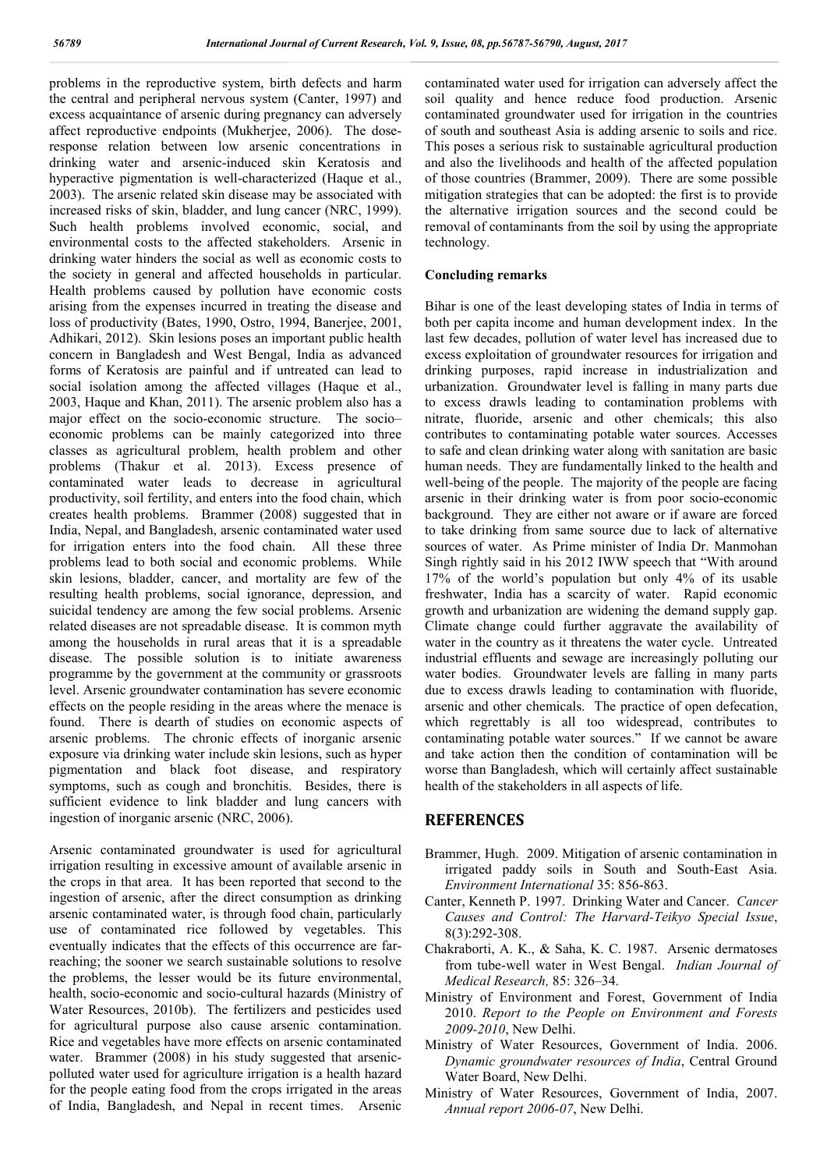problems in the reproductive system, birth defects and harm the central and peripheral nervous system (Canter, 1997) and excess acquaintance of arsenic during pregnancy can adversely affect reproductive endpoints (Mukherjee, 2006). The doseresponse relation between low arsenic concentrations in drinking water and arsenic-induced skin Keratosis and hyperactive pigmentation is well-characterized (Haque et al., 2003). The arsenic related skin disease may be associated with increased risks of skin, bladder, and lung cancer (NRC, 1999). Such health problems involved economic, social, and environmental costs to the affected stakeholders. Arsenic in drinking water hinders the social as well as economic costs to the society in general and affected households in particular. Health problems caused by pollution have economic costs arising from the expenses incurred in treating the disease and loss of productivity (Bates, 1990, Ostro, 1994, Banerjee, 2001, Adhikari, 2012). Skin lesions poses an important public health concern in Bangladesh and West Bengal, India as advanced forms of Keratosis are painful and if untreated can lead to social isolation among the affected villages (Haque et al., 2003, Haque and Khan, 2011). The arsenic problem also has a major effect on the socio-economic structure. The socio– economic problems can be mainly categorized into three classes as agricultural problem, health problem and other problems (Thakur et al. 2013). Excess presence of contaminated water leads to decrease in agricultural productivity, soil fertility, and enters into the food chain, which creates health problems. Brammer (2008) suggested that in India, Nepal, and Bangladesh, arsenic contaminated water used for irrigation enters into the food chain. All these three problems lead to both social and economic problems. While skin lesions, bladder, cancer, and mortality are few of the resulting health problems, social ignorance, depression, and suicidal tendency are among the few social problems. Arsenic related diseases are not spreadable disease. It is common myth among the households in rural areas that it is a spreadable disease. The possible solution is to initiate awareness programme by the government at the community or grassroots level. Arsenic groundwater contamination has severe economic effects on the people residing in the areas where the menace is found. There is dearth of studies on economic aspects of arsenic problems. The chronic effects of inorganic arsenic exposure via drinking water include skin lesions, such as hyper pigmentation and black foot disease, and respiratory symptoms, such as cough and bronchitis. Besides, there is sufficient evidence to link bladder and lung cancers with ingestion of inorganic arsenic (NRC, 2006).

Arsenic contaminated groundwater is used for agricultural irrigation resulting in excessive amount of available arsenic in the crops in that area. It has been reported that second to the ingestion of arsenic, after the direct consumption as drinking arsenic contaminated water, is through food chain, particularly use of contaminated rice followed by vegetables. This eventually indicates that the effects of this occurrence are farreaching; the sooner we search sustainable solutions to resolve the problems, the lesser would be its future environmental, health, socio-economic and socio-cultural hazards (Ministry of Water Resources, 2010b). The fertilizers and pesticides used for agricultural purpose also cause arsenic contamination. Rice and vegetables have more effects on arsenic contaminated water. Brammer (2008) in his study suggested that arsenicpolluted water used for agriculture irrigation is a health hazard for the people eating food from the crops irrigated in the areas of India, Bangladesh, and Nepal in recent times. Arsenic

contaminated water used for irrigation can adversely affect the soil quality and hence reduce food production. Arsenic contaminated groundwater used for irrigation in the countries of south and southeast Asia is adding arsenic to soils and rice. This poses a serious risk to sustainable agricultural production and also the livelihoods and health of the affected population of those countries (Brammer, 2009). There are some possible mitigation strategies that can be adopted: the first is to provide the alternative irrigation sources and the second could be removal of contaminants from the soil by using the appropriate technology.

#### **Concluding remarks**

Bihar is one of the least developing states of India in terms of both per capita income and human development index. In the last few decades, pollution of water level has increased due to excess exploitation of groundwater resources for irrigation and drinking purposes, rapid increase in industrialization and urbanization. Groundwater level is falling in many parts due to excess drawls leading to contamination problems with nitrate, fluoride, arsenic and other chemicals; this also contributes to contaminating potable water sources. Accesses to safe and clean drinking water along with sanitation are basic human needs. They are fundamentally linked to the health and well-being of the people. The majority of the people are facing arsenic in their drinking water is from poor socio-economic background. They are either not aware or if aware are forced to take drinking from same source due to lack of alternative sources of water. As Prime minister of India Dr. Manmohan Singh rightly said in his 2012 IWW speech that "With around 17% of the world's population but only 4% of its usable freshwater, India has a scarcity of water. Rapid economic growth and urbanization are widening the demand supply gap. Climate change could further aggravate the availability of water in the country as it threatens the water cycle. Untreated industrial effluents and sewage are increasingly polluting our water bodies. Groundwater levels are falling in many parts due to excess drawls leading to contamination with fluoride, arsenic and other chemicals. The practice of open defecation, which regrettably is all too widespread, contributes to contaminating potable water sources." If we cannot be aware and take action then the condition of contamination will be worse than Bangladesh, which will certainly affect sustainable health of the stakeholders in all aspects of life.

## **REFERENCES**

- Brammer, Hugh. 2009. Mitigation of arsenic contamination in irrigated paddy soils in South and South-East Asia. *Environment International* 35: 856-863.
- Canter, Kenneth P. 1997. Drinking Water and Cancer. *Cancer Causes and Control: The Harvard-Teikyo Special Issue*, 8(3):292-308.
- Chakraborti, A. K., & Saha, K. C. 1987. Arsenic dermatoses from tube-well water in West Bengal. *Indian Journal of Medical Research,* 85: 326–34.
- Ministry of Environment and Forest, Government of India 2010. *Report to the People on Environment and Forests 2009-2010*, New Delhi.
- Ministry of Water Resources, Government of India. 2006. *Dynamic groundwater resources of India*, Central Ground Water Board, New Delhi.
- Ministry of Water Resources, Government of India, 2007. *Annual report 2006-07*, New Delhi.